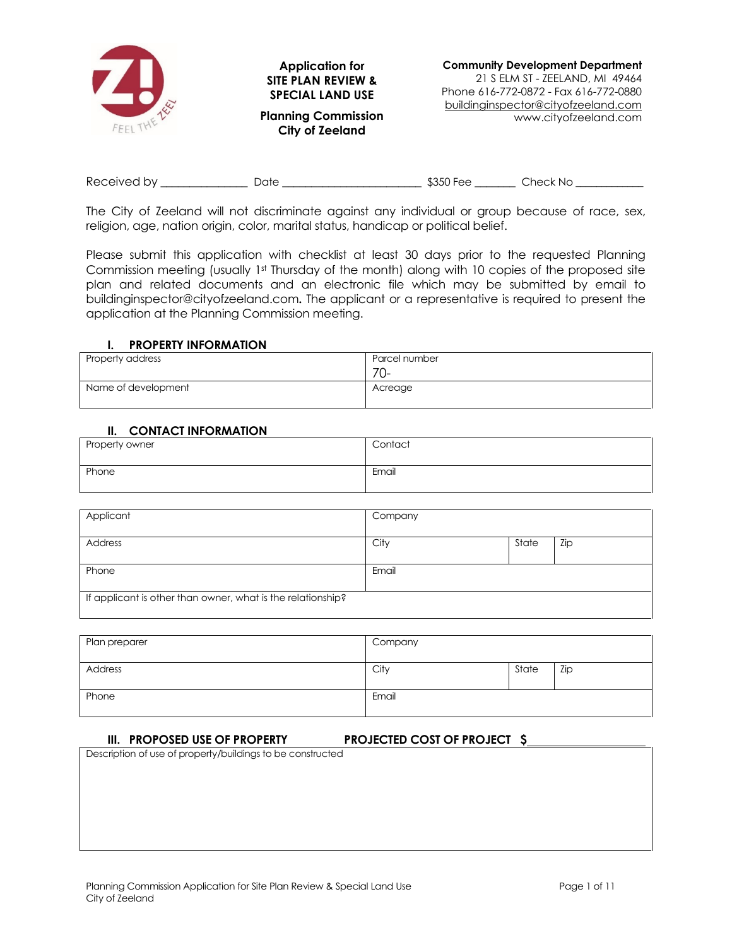

| Received by | )ate | \$350 Fee | Check No |
|-------------|------|-----------|----------|
|-------------|------|-----------|----------|

The City of Zeeland will not discriminate against any individual or group because of race, sex, religion, age, nation origin, color, marital status, handicap or political belief.

Please submit this application with checklist at least 30 days prior to the requested Planning Commission meeting (usually 1st Thursday of the month) along with 10 copies of the proposed site plan and related documents and an electronic file which may be submitted by email to buildinginspector@cityofzeeland.com**.** The applicant or a representative is required to present the application at the Planning Commission meeting.

## **I. PROPERTY INFORMATION**

| Property address    | Parcel number |
|---------------------|---------------|
|                     | $70-$         |
| Name of development | Acreage       |

## **II. CONTACT INFORMATION**

| Property owner | Contact |
|----------------|---------|
| Phone          | Email   |

| Applicant                                                   | Company |       |     |
|-------------------------------------------------------------|---------|-------|-----|
| Address                                                     | City    | State | Zip |
| Phone                                                       | Email   |       |     |
| If applicant is other than owner, what is the relationship? |         |       |     |

| Plan preparer | Company |       |     |
|---------------|---------|-------|-----|
| Address       | City    | State | Zip |
| Phone         | Email   |       |     |

#### **III. PROPOSED USE OF PROPERTY PROJECTED COST OF PROJECT \$**

Description of use of property/buildings to be constructed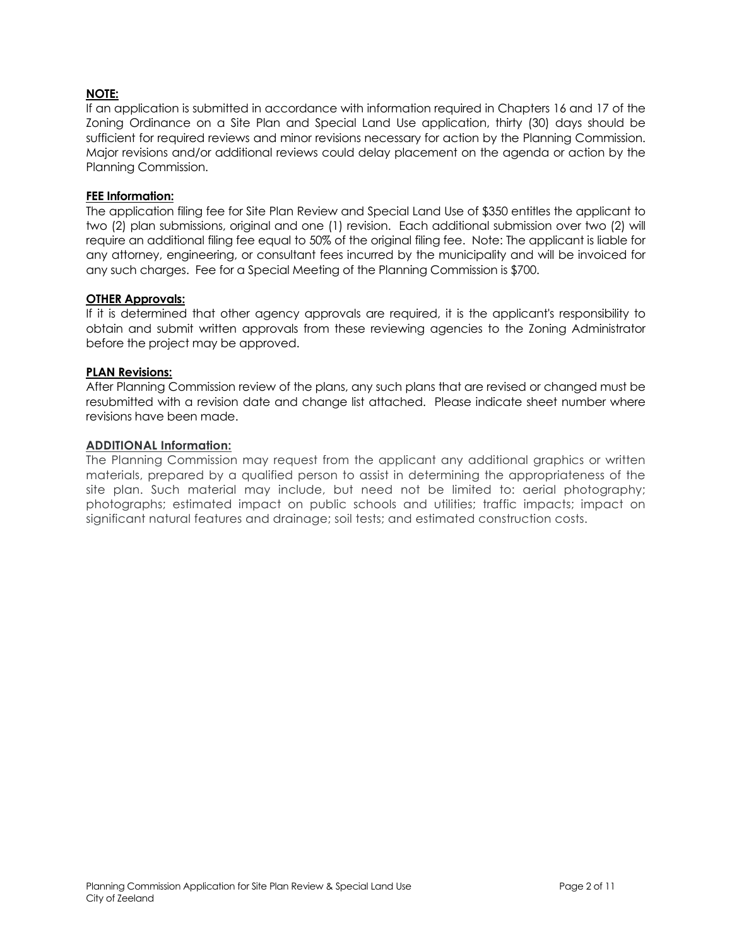## **NOTE:**

If an application is submitted in accordance with information required in Chapters 16 and 17 of the Zoning Ordinance on a Site Plan and Special Land Use application, thirty (30) days should be sufficient for required reviews and minor revisions necessary for action by the Planning Commission. Major revisions and/or additional reviews could delay placement on the agenda or action by the Planning Commission.

#### **FEE Information:**

The application filing fee for Site Plan Review and Special Land Use of \$350 entitles the applicant to two (2) plan submissions, original and one (1) revision. Each additional submission over two (2) will require an additional filing fee equal to 50% of the original filing fee. Note: The applicant is liable for any attorney, engineering, or consultant fees incurred by the municipality and will be invoiced for any such charges. Fee for a Special Meeting of the Planning Commission is \$700.

### **OTHER Approvals:**

If it is determined that other agency approvals are required, it is the applicant's responsibility to obtain and submit written approvals from these reviewing agencies to the Zoning Administrator before the project may be approved.

#### **PLAN Revisions:**

After Planning Commission review of the plans, any such plans that are revised or changed must be resubmitted with a revision date and change list attached. Please indicate sheet number where revisions have been made.

#### **ADDITIONAL Information:**

The Planning Commission may request from the applicant any additional graphics or written materials, prepared by a qualified person to assist in determining the appropriateness of the site plan. Such material may include, but need not be limited to: aerial photography; photographs; estimated impact on public schools and utilities; traffic impacts; impact on significant natural features and drainage; soil tests; and estimated construction costs.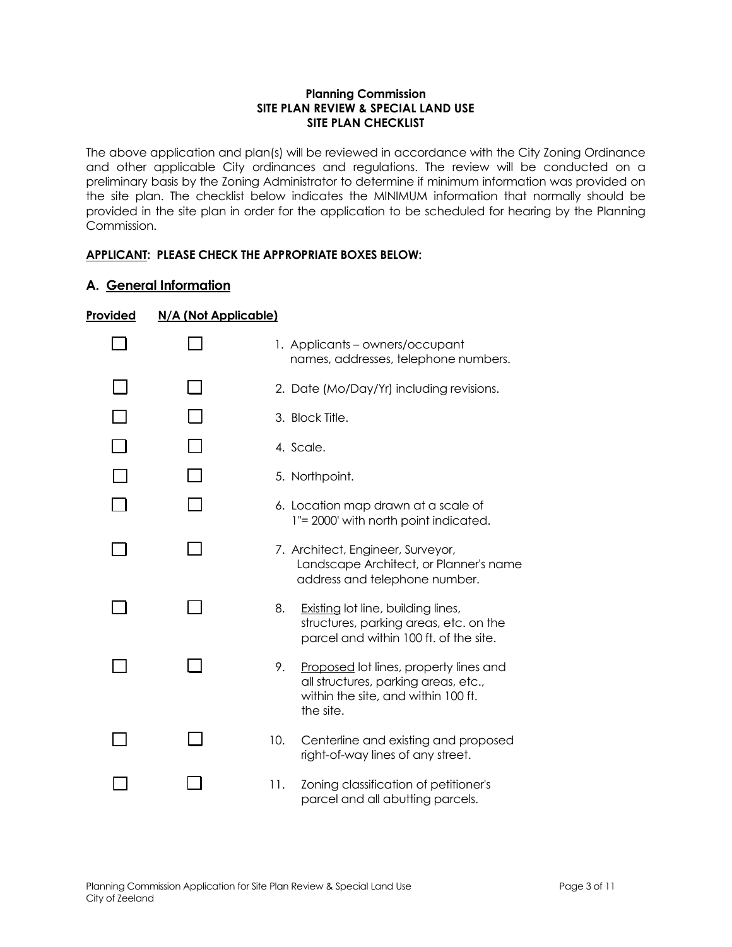## **Planning Commission SITE PLAN REVIEW & SPECIAL LAND USE SITE PLAN CHECKLIST**

The above application and plan(s) will be reviewed in accordance with the City Zoning Ordinance and other applicable City ordinances and regulations. The review will be conducted on a preliminary basis by the Zoning Administrator to determine if minimum information was provided on the site plan. The checklist below indicates the MINIMUM information that normally should be provided in the site plan in order for the application to be scheduled for hearing by the Planning Commission.

## **APPLICANT: PLEASE CHECK THE APPROPRIATE BOXES BELOW:**

## **A. General Information**

| Provided | N/A (Not Applicable) |                                                                                                                                          |
|----------|----------------------|------------------------------------------------------------------------------------------------------------------------------------------|
|          |                      | 1. Applicants – owners/occupant<br>names, addresses, telephone numbers.                                                                  |
|          |                      | 2. Date (Mo/Day/Yr) including revisions.                                                                                                 |
|          |                      | 3. Block Title.                                                                                                                          |
|          |                      | 4. Scale.                                                                                                                                |
|          |                      | 5. Northpoint.                                                                                                                           |
|          |                      | 6. Location map drawn at a scale of<br>1"= 2000' with north point indicated.                                                             |
|          |                      | 7. Architect, Engineer, Surveyor,<br>Landscape Architect, or Planner's name<br>address and telephone number.                             |
|          |                      | 8.<br>Existing lot line, building lines,<br>structures, parking areas, etc. on the<br>parcel and within 100 ft. of the site.             |
|          |                      | 9.<br>Proposed lot lines, property lines and<br>all structures, parking areas, etc.,<br>within the site, and within 100 ft.<br>the site. |
|          |                      | 10.<br>Centerline and existing and proposed<br>right-of-way lines of any street.                                                         |
|          |                      | Zoning classification of petitioner's<br>11.<br>parcel and all abutting parcels.                                                         |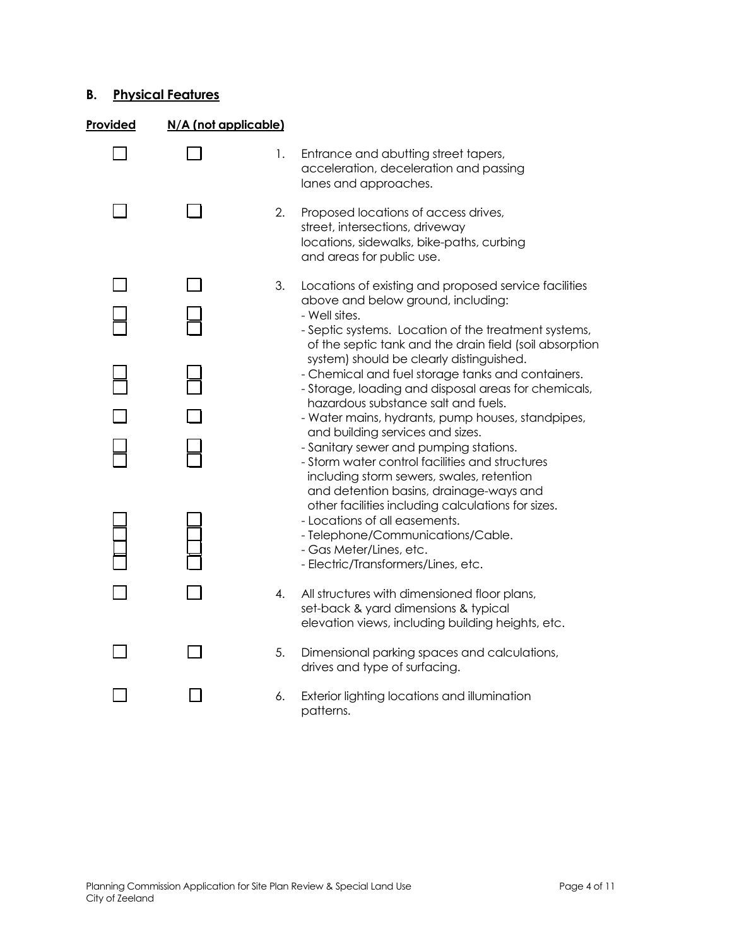# **B. Physical Features**

| Provided | N/A (not applicable) |    |                                                                                                                                                                                                                       |
|----------|----------------------|----|-----------------------------------------------------------------------------------------------------------------------------------------------------------------------------------------------------------------------|
|          |                      | 1. | Entrance and abutting street tapers,<br>acceleration, deceleration and passing<br>lanes and approaches.                                                                                                               |
|          |                      | 2. | Proposed locations of access drives,<br>street, intersections, driveway<br>locations, sidewalks, bike-paths, curbing<br>and areas for public use.                                                                     |
|          |                      | 3. | Locations of existing and proposed service facilities<br>above and below ground, including:                                                                                                                           |
|          |                      |    | - Well sites.<br>- Septic systems. Location of the treatment systems,<br>of the septic tank and the drain field (soil absorption                                                                                      |
|          |                      |    | system) should be clearly distinguished.<br>- Chemical and fuel storage tanks and containers.<br>- Storage, loading and disposal areas for chemicals,                                                                 |
|          |                      |    | hazardous substance salt and fuels.<br>- Water mains, hydrants, pump houses, standpipes,                                                                                                                              |
|          |                      |    | and building services and sizes.<br>- Sanitary sewer and pumping stations.<br>- Storm water control facilities and structures<br>including storm sewers, swales, retention<br>and detention basins, drainage-ways and |
|          |                      |    | other facilities including calculations for sizes.<br>- Locations of all easements.<br>- Telephone/Communications/Cable.<br>- Gas Meter/Lines, etc.<br>- Electric/Transformers/Lines, etc.                            |
|          |                      | 4. | All structures with dimensioned floor plans,<br>set-back & yard dimensions & typical<br>elevation views, including building heights, etc.                                                                             |
|          |                      | 5. | Dimensional parking spaces and calculations,<br>drives and type of surfacing.                                                                                                                                         |
|          |                      | 6. | Exterior lighting locations and illumination<br>patterns.                                                                                                                                                             |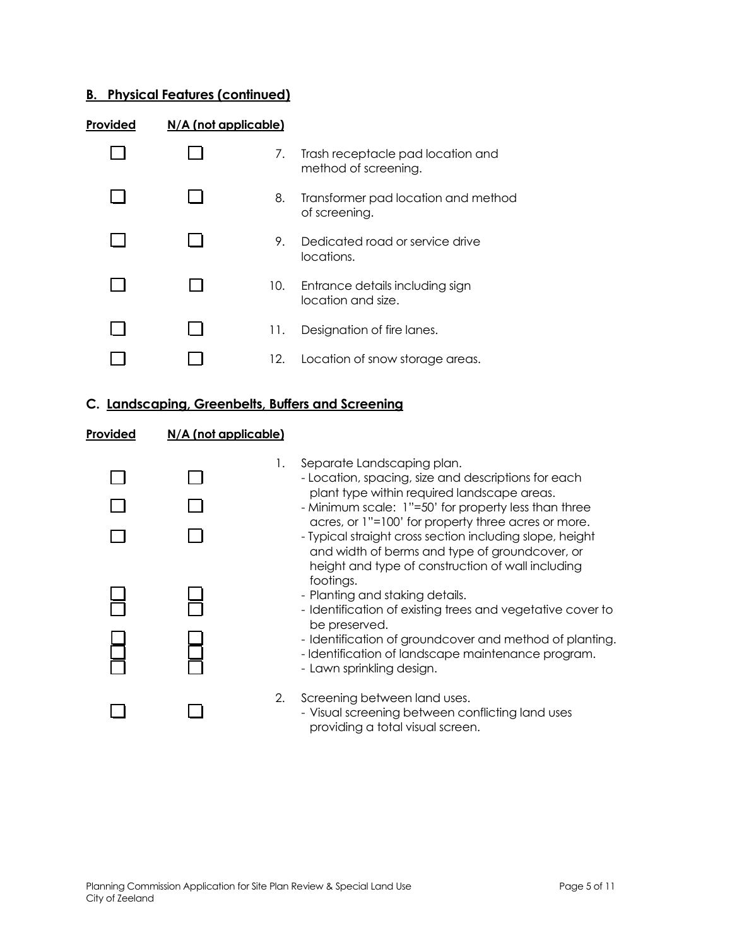# **B. Physical Features (continued)**

| Provided | $N/A$ (not applicable) |     |                                                           |
|----------|------------------------|-----|-----------------------------------------------------------|
|          |                        | 7.  | Trash receptacle pad location and<br>method of screening. |
|          |                        | 8.  | Transformer pad location and method<br>of screening.      |
|          |                        | 9.  | Dedicated road or service drive<br>locations.             |
|          |                        | 10. | Entrance details including sign<br>location and size.     |
|          |                        | 11. | Designation of fire lanes.                                |
|          |                        | 12. | Location of snow storage areas.                           |

# **C. Landscaping, Greenbelts, Buffers and Screening**

## **Provided N/A (not applicable)**

|  | 1. | Separate Landscaping plan.<br>- Location, spacing, size and descriptions for each<br>plant type within required landscape areas.<br>- Minimum scale: 1"=50' for property less than three<br>acres, or 1"=100' for property three acres or more.<br>- Typical straight cross section including slope, height<br>and width of berms and type of groundcover, or<br>height and type of construction of wall including<br>footings.<br>- Planting and staking details.<br>- Identification of existing trees and vegetative cover to<br>be preserved.<br>- Identification of groundcover and method of planting.<br>- Identification of landscape maintenance program.<br>- Lawn sprinkling design. |
|--|----|-------------------------------------------------------------------------------------------------------------------------------------------------------------------------------------------------------------------------------------------------------------------------------------------------------------------------------------------------------------------------------------------------------------------------------------------------------------------------------------------------------------------------------------------------------------------------------------------------------------------------------------------------------------------------------------------------|
|  | 2. | Screening between land uses.<br>- Visual screening between conflicting land uses<br>providing a total visual screen.                                                                                                                                                                                                                                                                                                                                                                                                                                                                                                                                                                            |
|  |    |                                                                                                                                                                                                                                                                                                                                                                                                                                                                                                                                                                                                                                                                                                 |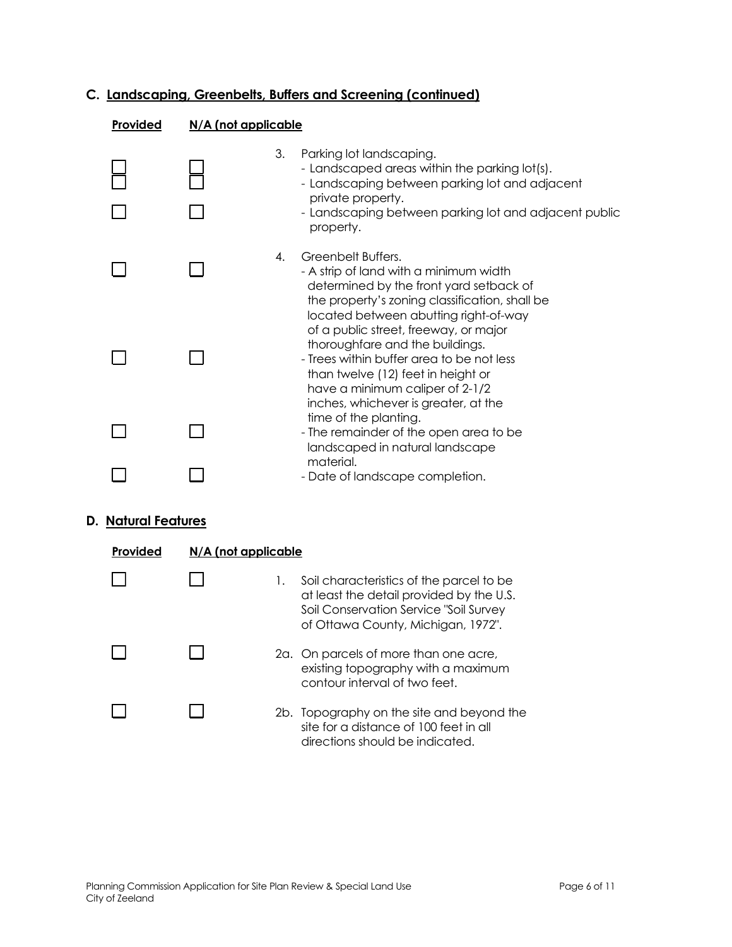# **C. Landscaping, Greenbelts, Buffers and Screening (continued)**

## **Provided N/A (not applicable**

|  | 3.<br>Parking lot landscaping.<br>- Landscaped areas within the parking lot(s).<br>- Landscaping between parking lot and adjacent<br>private property.<br>- Landscaping between parking lot and adjacent public<br>property.           |
|--|----------------------------------------------------------------------------------------------------------------------------------------------------------------------------------------------------------------------------------------|
|  | Greenbelt Buffers.<br>4.<br>- A strip of land with a minimum width<br>determined by the front yard setback of<br>the property's zoning classification, shall be<br>located between abutting right-of-way                               |
|  | of a public street, freeway, or major<br>thoroughfare and the buildings.<br>- Trees within buffer area to be not less<br>than twelve (12) feet in height or<br>have a minimum caliper of 2-1/2<br>inches, whichever is greater, at the |
|  | time of the planting.<br>- The remainder of the open area to be<br>landscaped in natural landscape                                                                                                                                     |
|  | material.<br>- Date of landscape completion.                                                                                                                                                                                           |

## **D. Natural Features**

| Provided | $N/A$ (not applicable |    |                                                                                                                                                                      |
|----------|-----------------------|----|----------------------------------------------------------------------------------------------------------------------------------------------------------------------|
|          |                       | Ι. | Soil characteristics of the parcel to be<br>at least the detail provided by the U.S.<br>Soil Conservation Service "Soil Survey<br>of Ottawa County, Michigan, 1972". |
|          |                       |    | 2a. On parcels of more than one acre,<br>existing topography with a maximum<br>contour interval of two feet.                                                         |
|          |                       |    | 2b. Topography on the site and beyond the<br>site for a distance of 100 feet in all<br>directions should be indicated.                                               |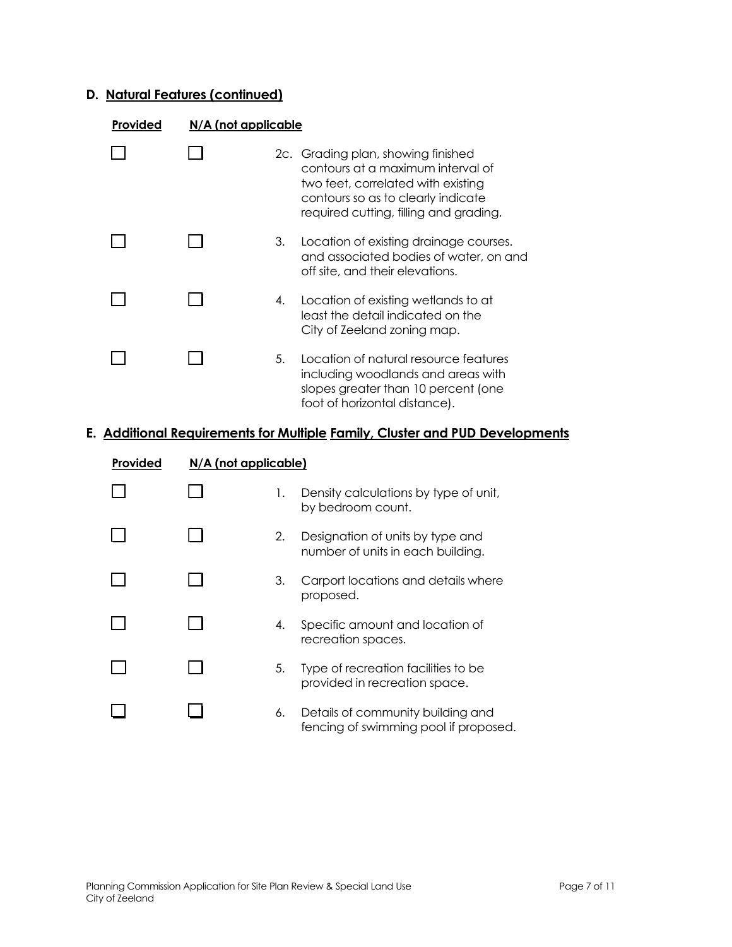# **D. Natural Features (continued)**

| <b>Provided</b> | N/A (not applicable |    |                                                                                                                                                                                               |
|-----------------|---------------------|----|-----------------------------------------------------------------------------------------------------------------------------------------------------------------------------------------------|
|                 |                     |    | 2c. Grading plan, showing finished<br>contours at a maximum interval of<br>two feet, correlated with existing<br>contours so as to clearly indicate<br>required cutting, filling and grading. |
|                 |                     | 3. | Location of existing drainage courses.<br>and associated bodies of water, on and<br>off site, and their elevations.                                                                           |
|                 |                     | 4. | Location of existing wetlands to at<br>least the detail indicated on the<br>City of Zeeland zoning map.                                                                                       |
|                 |                     | 5. | Location of natural resource features<br>including woodlands and areas with<br>slopes greater than 10 percent (one<br>foot of horizontal distance).                                           |

# **E. Additional Requirements for Multiple Family, Cluster and PUD Developments**

| Provided | $N/A$ (not applicable) |    |                                                                            |
|----------|------------------------|----|----------------------------------------------------------------------------|
|          |                        | 1. | Density calculations by type of unit,<br>by bedroom count.                 |
|          |                        | 2. | Designation of units by type and<br>number of units in each building.      |
|          |                        | 3. | Carport locations and details where<br>proposed.                           |
|          |                        | 4. | Specific amount and location of<br>recreation spaces.                      |
|          |                        | 5. | Type of recreation facilities to be<br>provided in recreation space.       |
|          |                        | 6. | Details of community building and<br>fencing of swimming pool if proposed. |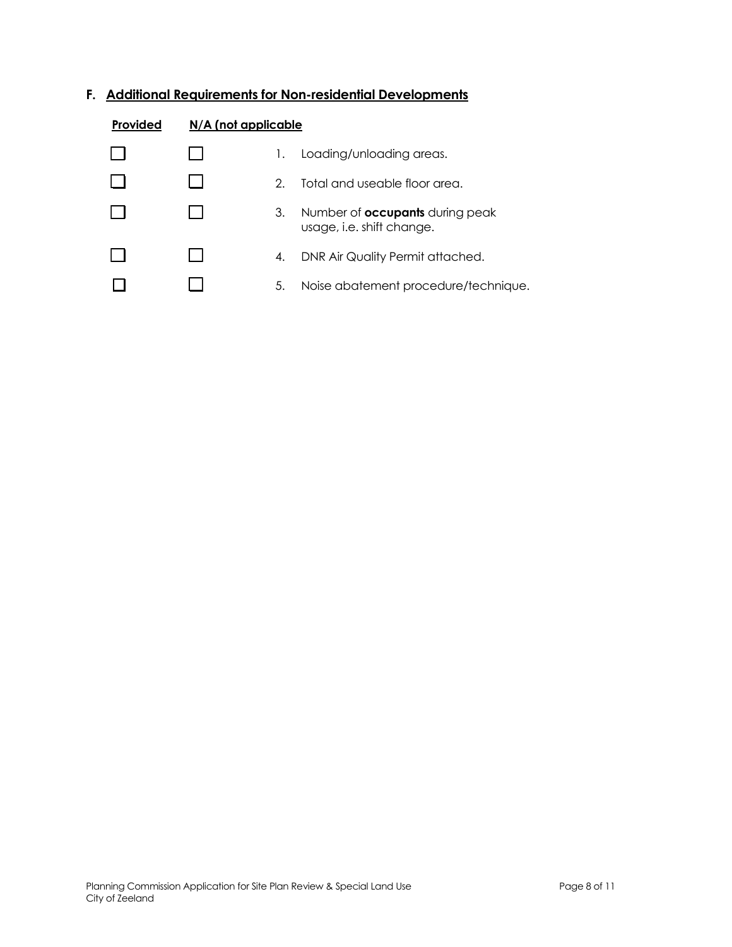# **F. Additional Requirements for Non-residential Developments**

| Provided | $N/A$ (not applicable |    |                                                                     |
|----------|-----------------------|----|---------------------------------------------------------------------|
|          |                       | Ι. | Loading/unloading areas.                                            |
|          |                       | 2. | Total and useable floor area.                                       |
|          |                       | 3. | Number of <b>occupants</b> during peak<br>usage, i.e. shift change. |
|          |                       | 4. | DNR Air Quality Permit attached.                                    |
|          |                       | 5. | Noise abatement procedure/technique.                                |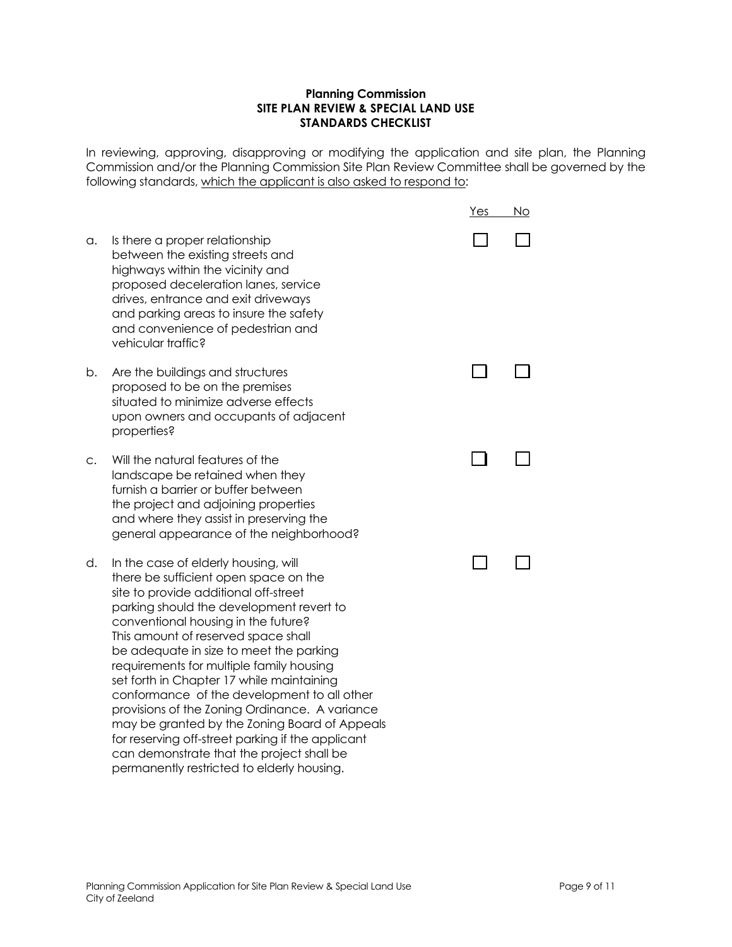## **Planning Commission SITE PLAN REVIEW & SPECIAL LAND USE STANDARDS CHECKLIST**

In reviewing, approving, disapproving or modifying the application and site plan, the Planning Commission and/or the Planning Commission Site Plan Review Committee shall be governed by the following standards, which the applicant is also asked to respond to:

|             |                                                                                                                                                                                                                                                                                                                                                                                                                                                                                                                                                                                                                                                                                        | <u>Yes</u> | No |
|-------------|----------------------------------------------------------------------------------------------------------------------------------------------------------------------------------------------------------------------------------------------------------------------------------------------------------------------------------------------------------------------------------------------------------------------------------------------------------------------------------------------------------------------------------------------------------------------------------------------------------------------------------------------------------------------------------------|------------|----|
| a.          | Is there a proper relationship<br>between the existing streets and<br>highways within the vicinity and<br>proposed deceleration lanes, service<br>drives, entrance and exit driveways<br>and parking areas to insure the safety<br>and convenience of pedestrian and<br>vehicular traffic?                                                                                                                                                                                                                                                                                                                                                                                             |            |    |
| b.          | Are the buildings and structures<br>proposed to be on the premises<br>situated to minimize adverse effects<br>upon owners and occupants of adjacent<br>properties?                                                                                                                                                                                                                                                                                                                                                                                                                                                                                                                     |            |    |
| $C_{\star}$ | Will the natural features of the<br>landscape be retained when they<br>furnish a barrier or buffer between<br>the project and adjoining properties<br>and where they assist in preserving the<br>general appearance of the neighborhood?                                                                                                                                                                                                                                                                                                                                                                                                                                               |            |    |
| d.          | In the case of elderly housing, will<br>there be sufficient open space on the<br>site to provide additional off-street<br>parking should the development revert to<br>conventional housing in the future?<br>This amount of reserved space shall<br>be adequate in size to meet the parking<br>requirements for multiple family housing<br>set forth in Chapter 17 while maintaining<br>conformance of the development to all other<br>provisions of the Zoning Ordinance. A variance<br>may be granted by the Zoning Board of Appeals<br>for reserving off-street parking if the applicant<br>can demonstrate that the project shall be<br>permanently restricted to elderly housing. |            |    |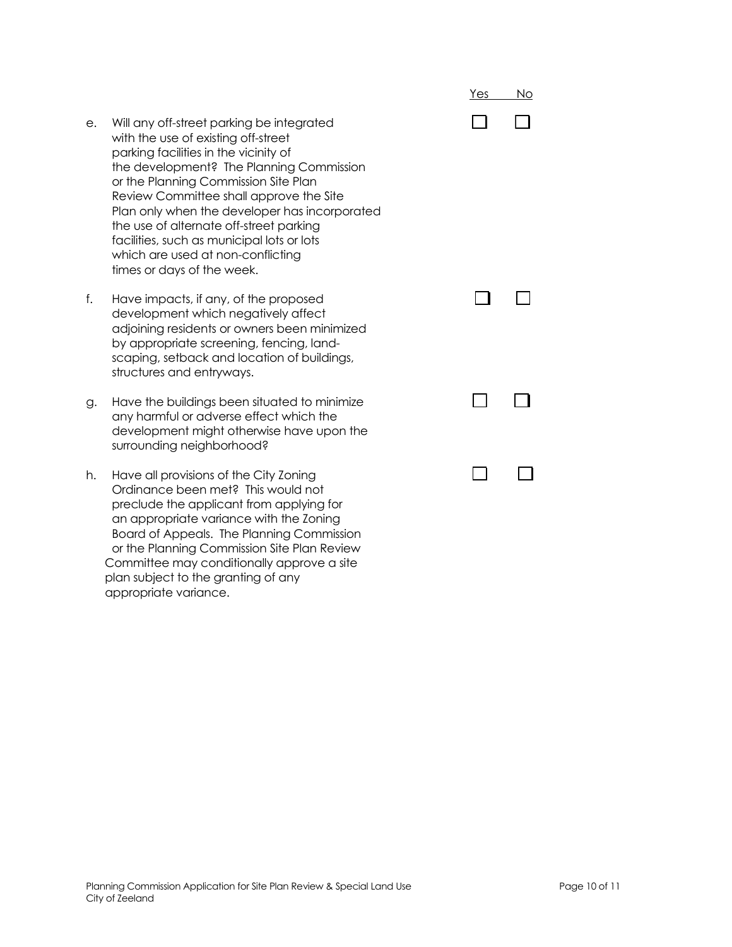- e. Will any off-street parking be integrated with the use of existing off-street parking facilities in the vicinity of the development? The Planning Commission or the Planning Commission Site Plan Review Committee shall approve the Site Plan only when the developer has incorporated the use of alternate off-street parking facilities, such as municipal lots or lots which are used at non-conflicting times or days of the week.
- f. Have impacts, if any, of the proposed development which negatively affect adjoining residents or owners been minimized by appropriate screening, fencing, landscaping, setback and location of buildings, structures and entryways.
- g. Have the buildings been situated to minimize any harmful or adverse effect which the development might otherwise have upon the surrounding neighborhood?
- h. Have all provisions of the City Zoning Ordinance been met? This would not preclude the applicant from applying for an appropriate variance with the Zoning Board of Appeals. The Planning Commission or the Planning Commission Site Plan Review Committee may conditionally approve a site plan subject to the granting of any appropriate variance.

|        | $\begin{array}{ccc} & \square & \square \end{array}$ |
|--------|------------------------------------------------------|
|        | $\begin{array}{ccc} \square & \square \end{array}$   |
|        | $\begin{array}{ccc} & \square & \square \end{array}$ |
| $\Box$ | $\mathcal{L}_{\mathcal{A}}$                          |

Yes No